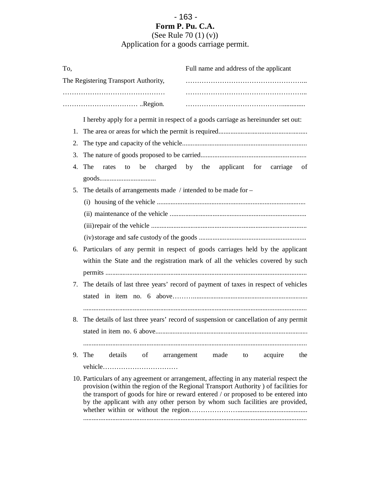## - 163 - **Form P. Pu. C.A.**

## (See Rule 70 (1) (v)) Application for a goods carriage permit.

| To, | Full name and address of the applicant                                                                                                                                                                                                                                                                                                              |  |  |  |  |  |
|-----|-----------------------------------------------------------------------------------------------------------------------------------------------------------------------------------------------------------------------------------------------------------------------------------------------------------------------------------------------------|--|--|--|--|--|
|     | The Registering Transport Authority,                                                                                                                                                                                                                                                                                                                |  |  |  |  |  |
|     |                                                                                                                                                                                                                                                                                                                                                     |  |  |  |  |  |
|     |                                                                                                                                                                                                                                                                                                                                                     |  |  |  |  |  |
|     | I hereby apply for a permit in respect of a goods carriage as hereinunder set out:                                                                                                                                                                                                                                                                  |  |  |  |  |  |
|     |                                                                                                                                                                                                                                                                                                                                                     |  |  |  |  |  |
| 2.  |                                                                                                                                                                                                                                                                                                                                                     |  |  |  |  |  |
| 3.  |                                                                                                                                                                                                                                                                                                                                                     |  |  |  |  |  |
| 4.  | be charged by the applicant for carriage<br>The<br>rates to<br>of                                                                                                                                                                                                                                                                                   |  |  |  |  |  |
|     |                                                                                                                                                                                                                                                                                                                                                     |  |  |  |  |  |
| 5.  | The details of arrangements made / intended to be made for $-$                                                                                                                                                                                                                                                                                      |  |  |  |  |  |
|     |                                                                                                                                                                                                                                                                                                                                                     |  |  |  |  |  |
|     |                                                                                                                                                                                                                                                                                                                                                     |  |  |  |  |  |
|     |                                                                                                                                                                                                                                                                                                                                                     |  |  |  |  |  |
|     |                                                                                                                                                                                                                                                                                                                                                     |  |  |  |  |  |
| 6.  | Particulars of any permit in respect of goods carriages held by the applicant                                                                                                                                                                                                                                                                       |  |  |  |  |  |
|     | within the State and the registration mark of all the vehicles covered by such                                                                                                                                                                                                                                                                      |  |  |  |  |  |
|     |                                                                                                                                                                                                                                                                                                                                                     |  |  |  |  |  |
|     | 7. The details of last three years' record of payment of taxes in respect of vehicles                                                                                                                                                                                                                                                               |  |  |  |  |  |
|     |                                                                                                                                                                                                                                                                                                                                                     |  |  |  |  |  |
|     |                                                                                                                                                                                                                                                                                                                                                     |  |  |  |  |  |
| 8.  | The details of last three years' record of suspension or cancellation of any permit                                                                                                                                                                                                                                                                 |  |  |  |  |  |
|     | stated in item no. 6 above                                                                                                                                                                                                                                                                                                                          |  |  |  |  |  |
|     |                                                                                                                                                                                                                                                                                                                                                     |  |  |  |  |  |
|     | 9. The details of arrangement made to acquire<br>the                                                                                                                                                                                                                                                                                                |  |  |  |  |  |
|     |                                                                                                                                                                                                                                                                                                                                                     |  |  |  |  |  |
|     | 10. Particulars of any agreement or arrangement, affecting in any material respect the<br>provision (within the region of the Regional Transport Authority) of facilities for<br>the transport of goods for hire or reward entered / or proposed to be entered into<br>by the applicant with any other person by whom such facilities are provided, |  |  |  |  |  |

...................................................................................................................................